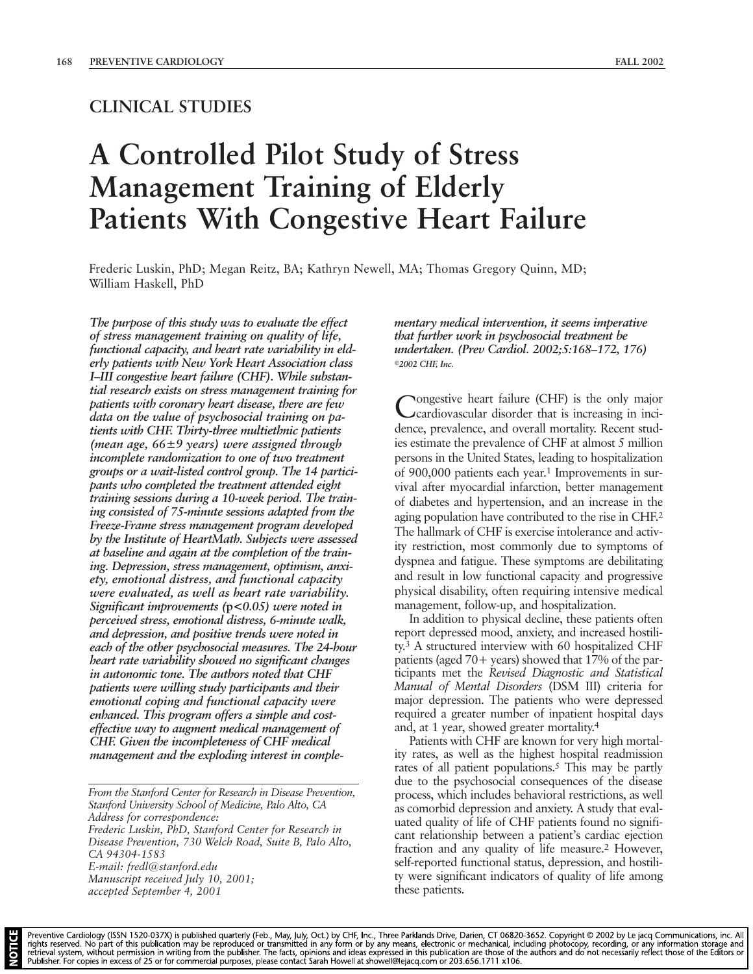# **CLINICAL STUDIES**

# **A Controlled Pilot Study of Stress Management Training of Elderly Patients With Congestive Heart Failure**

Frederic Luskin, PhD; Megan Reitz, BA; Kathryn Newell, MA; Thomas Gregory Quinn, MD; William Haskell, PhD

*The purpose of this study was to evaluate the effect of stress management training on quality of life, functional capacity, and heart rate variability in elderly patients with New York Heart Association class I–III congestive heart failure (CHF). While substantial research exists on stress management training for patients with coronary heart disease, there are few data on the value of psychosocial training on patients with CHF. Thirty-three multiethnic patients (mean age, 66±9 years) were assigned through incomplete randomization to one of two treatment groups or a wait-listed control group. The 14 participants who completed the treatment attended eight training sessions during a 10-week period. The training consisted of 75-minute sessions adapted from the Freeze-Frame stress management program developed by the Institute of HeartMath. Subjects were assessed at baseline and again at the completion of the training. Depression, stress management, optimism, anxiety, emotional distress, and functional capacity were evaluated, as well as heart rate variability. Significant improvements (***p***<0.05) were noted in perceived stress, emotional distress, 6-minute walk, and depression, and positive trends were noted in each of the other psychosocial measures. The 24-hour heart rate variability showed no significant changes in autonomic tone. The authors noted that CHF patients were willing study participants and their emotional coping and functional capacity were enhanced. This program offers a simple and costeffective way to augment medical management of CHF. Given the incompleteness of CHF medical management and the exploding interest in comple-*

*From the Stanford Center for Research in Disease Prevention, Stanford University School of Medicine, Palo Alto, CA Address for correspondence: Frederic Luskin, PhD, Stanford Center for Research in Disease Prevention, 730 Welch Road, Suite B, Palo Alto, CA 94304-1583*

*E-mail: fredl@stanford.edu Manuscript received July 10, 2001; accepted September 4, 2001*

*mentary medical intervention, it seems imperative that further work in psychosocial treatment be undertaken. (Prev Cardiol. 2002;5:168–172, 176) ©2002 CHF, Inc.*

**The Tongestive heart failure (CHF)** is the only major cardiovascular disorder that is increasing in incidence, prevalence, and overall mortality. Recent studies estimate the prevalence of CHF at almost 5 million persons in the United States, leading to hospitalization of 900,000 patients each year.<sup>1</sup> Improvements in survival after myocardial infarction, better management of diabetes and hypertension, and an increase in the aging population have contributed to the rise in CHF.2 The hallmark of CHF is exercise intolerance and activity restriction, most commonly due to symptoms of dyspnea and fatigue. These symptoms are debilitating and result in low functional capacity and progressive physical disability, often requiring intensive medical management, follow-up, and hospitalization.

In addition to physical decline, these patients often report depressed mood, anxiety, and increased hostility.3 A structured interview with 60 hospitalized CHF patients (aged 70+ years) showed that 17% of the participants met the *Revised Diagnostic and Statistical Manual of Mental Disorders* (DSM III) criteria for major depression. The patients who were depressed required a greater number of inpatient hospital days and, at 1 year, showed greater mortality.4

Patients with CHF are known for very high mortality rates, as well as the highest hospital readmission rates of all patient populations.<sup>5</sup> This may be partly due to the psychosocial consequences of the disease process, which includes behavioral restrictions, as well as comorbid depression and anxiety. A study that evaluated quality of life of CHF patients found no significant relationship between a patient's cardiac ejection fraction and any quality of life measure.2 However, self-reported functional status, depression, and hostility were significant indicators of quality of life among these patients.

Preventive Cardiology (ISSN 1520-037X) is published quarterly (Feb., May, July, Oct.) by CHF, Inc., Three Parklands Drive, Darien, CT 06820-3652. Copyright © 2002 by Le jacq Communications, inc. All reventuve Caracterial System, without a publisher than your server of the produced or transmitted in any form or by any means, electronic or mechanical, inclusively coverage and right reserved. No part of this publication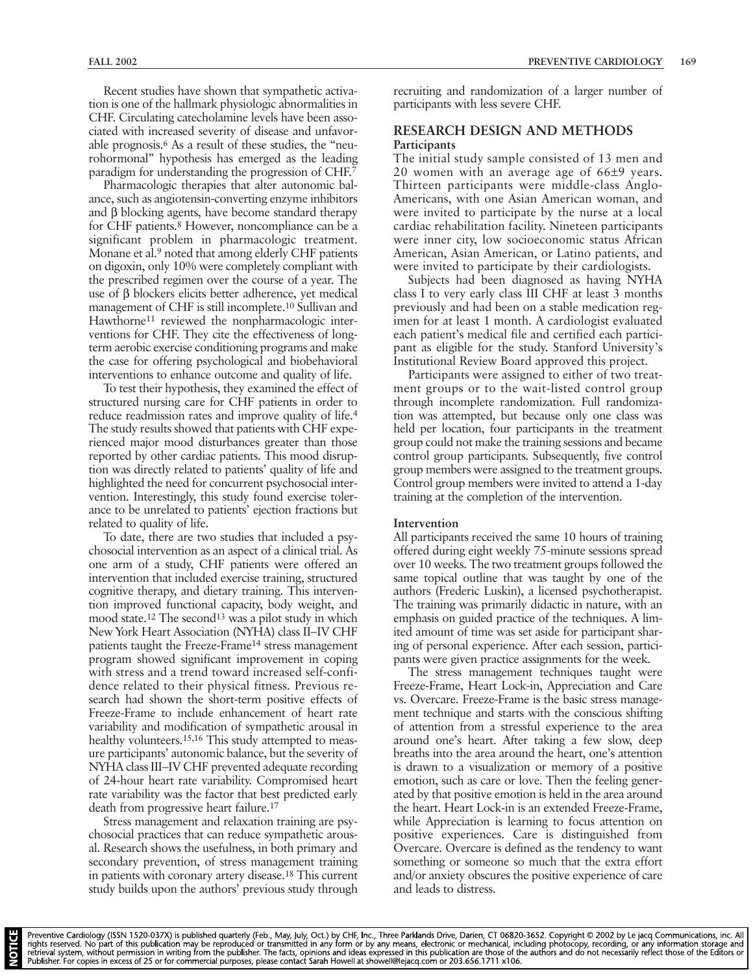Recent studies have shown that sympathetic activation is one of the hallmark physiologic abnormalities in CHF. Circulating catecholamine levels have been associated with increased severity of disease and unfavorable prognosis.6 As a result of these studies, the "neurohormonal" hypothesis has emerged as the leading paradigm for understanding the progression of CHF.7

Pharmacologic therapies that alter autonomic balance, such as angiotensin-converting enzyme inhibitors and β blocking agents, have become standard therapy for CHF patients.8 However, noncompliance can be a significant problem in pharmacologic treatment. Monane et al.9 noted that among elderly CHF patients on digoxin, only 10% were completely compliant with the prescribed regimen over the course of a year. The use of β blockers elicits better adherence, yet medical management of CHF is still incomplete.10 Sullivan and Hawthorne<sup>11</sup> reviewed the nonpharmacologic interventions for CHF. They cite the effectiveness of longterm aerobic exercise conditioning programs and make the case for offering psychological and biobehavioral interventions to enhance outcome and quality of life.

To test their hypothesis, they examined the effect of structured nursing care for CHF patients in order to reduce readmission rates and improve quality of life.4 The study results showed that patients with CHF experienced major mood disturbances greater than those reported by other cardiac patients. This mood disruption was directly related to patients' quality of life and highlighted the need for concurrent psychosocial intervention. Interestingly, this study found exercise tolerance to be unrelated to patients' ejection fractions but related to quality of life.

To date, there are two studies that included a psychosocial intervention as an aspect of a clinical trial. As one arm of a study, CHF patients were offered an intervention that included exercise training, structured cognitive therapy, and dietary training. This intervention improved functional capacity, body weight, and mood state.<sup>12</sup> The second<sup>13</sup> was a pilot study in which New York Heart Association (NYHA) class II−IV CHF patients taught the Freeze-Frame14 stress management program showed significant improvement in coping with stress and a trend toward increased self-confidence related to their physical fitness. Previous research had shown the short-term positive effects of Freeze-Frame to include enhancement of heart rate variability and modification of sympathetic arousal in healthy volunteers.<sup>15,16</sup> This study attempted to measure participants' autonomic balance, but the severity of NYHA class III−IV CHF prevented adequate recording of 24-hour heart rate variability. Compromised heart rate variability was the factor that best predicted early death from progressive heart failure.17

Stress management and relaxation training are psychosocial practices that can reduce sympathetic arousal. Research shows the usefulness, in both primary and secondary prevention, of stress management training in patients with coronary artery disease.18 This current study builds upon the authors' previous study through recruiting and randomization of a larger number of participants with less severe CHF.

#### **RESEARCH DESIGN AND METHODS Participants**

The initial study sample consisted of 13 men and 20 women with an average age of 66±9 years. Thirteen participants were middle-class Anglo-Americans, with one Asian American woman, and were invited to participate by the nurse at a local cardiac rehabilitation facility. Nineteen participants were inner city, low socioeconomic status African American, Asian American, or Latino patients, and were invited to participate by their cardiologists.

Subjects had been diagnosed as having NYHA class I to very early class III CHF at least 3 months previously and had been on a stable medication regimen for at least 1 month. A cardiologist evaluated each patient's medical file and certified each participant as eligible for the study. Stanford University's Institutional Review Board approved this project.

Participants were assigned to either of two treatment groups or to the wait-listed control group through incomplete randomization. Full randomization was attempted, but because only one class was held per location, four participants in the treatment group could not make the training sessions and became control group participants. Subsequently, five control group members were assigned to the treatment groups. Control group members were invited to attend a 1-day training at the completion of the intervention.

#### **Intervention**

All participants received the same 10 hours of training offered during eight weekly 75-minute sessions spread over 10 weeks. The two treatment groups followed the same topical outline that was taught by one of the authors (Frederic Luskin), a licensed psychotherapist. The training was primarily didactic in nature, with an emphasis on guided practice of the techniques. A limited amount of time was set aside for participant sharing of personal experience. After each session, participants were given practice assignments for the week.

The stress management techniques taught were Freeze-Frame, Heart Lock-in, Appreciation and Care vs. Overcare. Freeze-Frame is the basic stress management technique and starts with the conscious shifting of attention from a stressful experience to the area around one's heart. After taking a few slow, deep breaths into the area around the heart, one's attention is drawn to a visualization or memory of a positive emotion, such as care or love. Then the feeling generated by that positive emotion is held in the area around the heart. Heart Lock-in is an extended Freeze-Frame, while Appreciation is learning to focus attention on positive experiences. Care is distinguished from Overcare. Overcare is defined as the tendency to want something or someone so much that the extra effort and/or anxiety obscures the positive experience of care and leads to distress.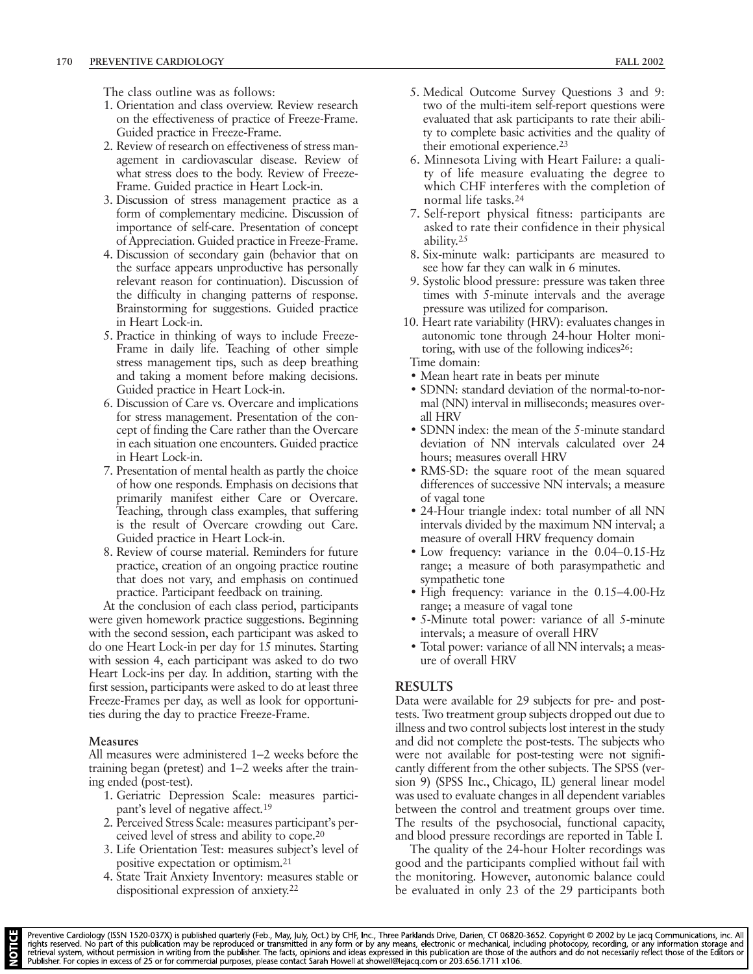The class outline was as follows:

- 1. Orientation and class overview. Review research on the effectiveness of practice of Freeze-Frame. Guided practice in Freeze-Frame.
- 2. Review of research on effectiveness of stress management in cardiovascular disease. Review of what stress does to the body. Review of Freeze-Frame. Guided practice in Heart Lock-in.
- 3. Discussion of stress management practice as a form of complementary medicine. Discussion of importance of self-care. Presentation of concept of Appreciation. Guided practice in Freeze-Frame.
- 4. Discussion of secondary gain (behavior that on the surface appears unproductive has personally relevant reason for continuation). Discussion of the difficulty in changing patterns of response. Brainstorming for suggestions. Guided practice in Heart Lock-in.
- 5. Practice in thinking of ways to include Freeze-Frame in daily life. Teaching of other simple stress management tips, such as deep breathing and taking a moment before making decisions. Guided practice in Heart Lock-in.
- 6. Discussion of Care vs. Overcare and implications for stress management. Presentation of the concept of finding the Care rather than the Overcare in each situation one encounters. Guided practice in Heart Lock-in.
- 7. Presentation of mental health as partly the choice of how one responds. Emphasis on decisions that primarily manifest either Care or Overcare. Teaching, through class examples, that suffering is the result of Overcare crowding out Care. Guided practice in Heart Lock-in.
- 8. Review of course material. Reminders for future practice, creation of an ongoing practice routine that does not vary, and emphasis on continued practice. Participant feedback on training.

At the conclusion of each class period, participants were given homework practice suggestions. Beginning with the second session, each participant was asked to do one Heart Lock-in per day for 15 minutes. Starting with session 4, each participant was asked to do two Heart Lock-ins per day. In addition, starting with the first session, participants were asked to do at least three Freeze-Frames per day, as well as look for opportunities during the day to practice Freeze-Frame.

### **Measures**

All measures were administered 1−2 weeks before the training began (pretest) and 1−2 weeks after the training ended (post-test).

- 1. Geriatric Depression Scale: measures participant's level of negative affect.19
- 2. Perceived Stress Scale: measures participant's perceived level of stress and ability to cope.20
- 3. Life Orientation Test: measures subject's level of positive expectation or optimism.21
- 4. State Trait Anxiety Inventory: measures stable or dispositional expression of anxiety.22
- 5. Medical Outcome Survey Questions 3 and 9: two of the multi-item self-report questions were evaluated that ask participants to rate their ability to complete basic activities and the quality of their emotional experience.23
- 6. Minnesota Living with Heart Failure: a quality of life measure evaluating the degree to which CHF interferes with the completion of normal life tasks.24
- 7. Self-report physical fitness: participants are asked to rate their confidence in their physical ability.25
- 8. Six-minute walk: participants are measured to see how far they can walk in 6 minutes.
- 9. Systolic blood pressure: pressure was taken three times with 5-minute intervals and the average pressure was utilized for comparison.
- 10. Heart rate variability (HRV): evaluates changes in autonomic tone through 24-hour Holter monitoring, with use of the following indices $26$ :

Time domain:

- Mean heart rate in beats per minute
- SDNN: standard deviation of the normal-to-normal (NN) interval in milliseconds; measures overall HRV
- SDNN index: the mean of the 5-minute standard deviation of NN intervals calculated over 24 hours; measures overall HRV
- RMS-SD: the square root of the mean squared differences of successive NN intervals; a measure of vagal tone
- 24-Hour triangle index: total number of all NN intervals divided by the maximum NN interval; a measure of overall HRV frequency domain
- Low frequency: variance in the 0.04−0.15-Hz range; a measure of both parasympathetic and sympathetic tone
- High frequency: variance in the 0.15−4.00-Hz range; a measure of vagal tone
- 5-Minute total power: variance of all 5-minute intervals; a measure of overall HRV
- Total power: variance of all NN intervals; a measure of overall HRV

## **RESULTS**

Data were available for 29 subjects for pre- and posttests. Two treatment group subjects dropped out due to illness and two control subjects lost interest in the study and did not complete the post-tests. The subjects who were not available for post-testing were not significantly different from the other subjects. The SPSS (version 9) (SPSS Inc., Chicago, IL) general linear model was used to evaluate changes in all dependent variables between the control and treatment groups over time. The results of the psychosocial, functional capacity, and blood pressure recordings are reported in Table I.

The quality of the 24-hour Holter recordings was good and the participants complied without fail with the monitoring. However, autonomic balance could be evaluated in only 23 of the 29 participants both

Preventive Cardiology (ISSN 1520-037X) is published quarterly (Feb., May, July, Oct.) by CHF, Inc., Three Parklands Drive, Darien, CT 06820-3652. Copyright © 2002 by Le jacq Communications, inc. All<br>rights reserved. No par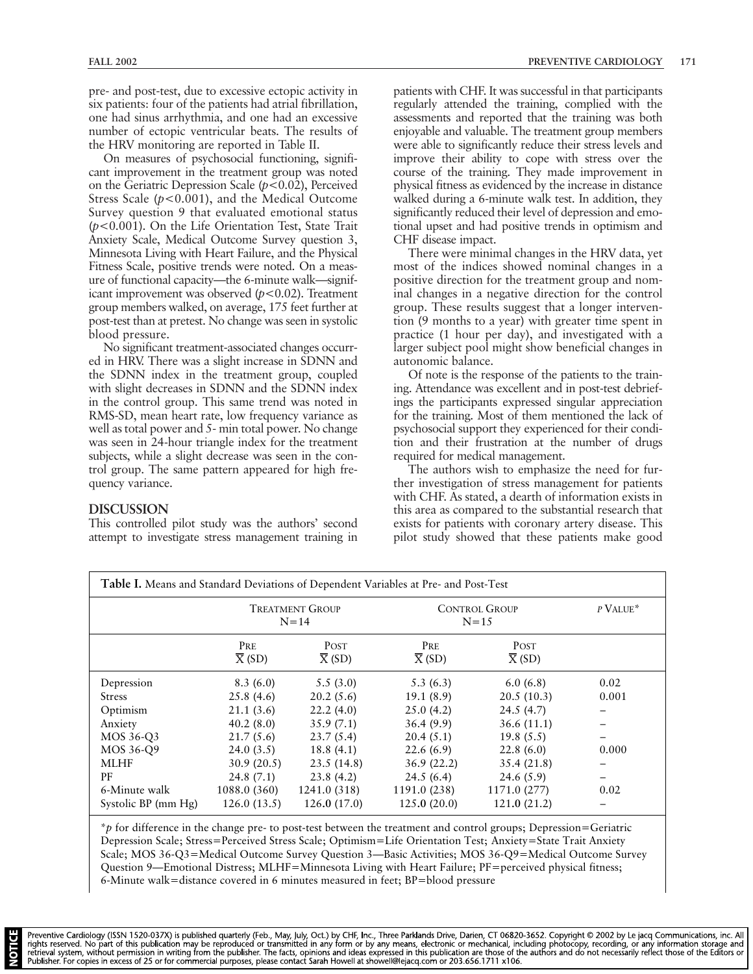pre- and post-test, due to excessive ectopic activity in six patients: four of the patients had atrial fibrillation, one had sinus arrhythmia, and one had an excessive number of ectopic ventricular beats. The results of the HRV monitoring are reported in Table II.

On measures of psychosocial functioning, significant improvement in the treatment group was noted on the Geriatric Depression Scale (*p*<0.02), Perceived Stress Scale (*p*<0.001), and the Medical Outcome Survey question 9 that evaluated emotional status (*p*<0.001). On the Life Orientation Test, State Trait Anxiety Scale, Medical Outcome Survey question 3, Minnesota Living with Heart Failure, and the Physical Fitness Scale, positive trends were noted. On a measure of functional capacity—the 6-minute walk—significant improvement was observed (*p*<0.02). Treatment group members walked, on average, 175 feet further at post-test than at pretest. No change was seen in systolic blood pressure.

No significant treatment-associated changes occurred in HRV. There was a slight increase in SDNN and the SDNN index in the treatment group, coupled with slight decreases in SDNN and the SDNN index in the control group. This same trend was noted in RMS-SD, mean heart rate, low frequency variance as well as total power and 5- min total power. No change was seen in 24-hour triangle index for the treatment subjects, while a slight decrease was seen in the control group. The same pattern appeared for high frequency variance.

#### **DISCUSSION**

This controlled pilot study was the authors' second attempt to investigate stress management training in

patients with CHF. It was successful in that participants regularly attended the training, complied with the assessments and reported that the training was both enjoyable and valuable. The treatment group members were able to significantly reduce their stress levels and improve their ability to cope with stress over the course of the training. They made improvement in physical fitness as evidenced by the increase in distance walked during a 6-minute walk test. In addition, they significantly reduced their level of depression and emotional upset and had positive trends in optimism and CHF disease impact.

There were minimal changes in the HRV data, yet most of the indices showed nominal changes in a positive direction for the treatment group and nominal changes in a negative direction for the control group. These results suggest that a longer intervention (9 months to a year) with greater time spent in practice (1 hour per day), and investigated with a larger subject pool might show beneficial changes in autonomic balance.

Of note is the response of the patients to the training. Attendance was excellent and in post-test debriefings the participants expressed singular appreciation for the training. Most of them mentioned the lack of psychosocial support they experienced for their condition and their frustration at the number of drugs required for medical management.

The authors wish to emphasize the need for further investigation of stress management for patients with CHF. As stated, a dearth of information exists in this area as compared to the substantial research that exists for patients with coronary artery disease. This pilot study showed that these patients make good

| Table I. Means and Standard Deviations of Dependent Variables at Pre- and Post-Test |                                    |                                    |                            |                                    |                        |  |  |  |
|-------------------------------------------------------------------------------------|------------------------------------|------------------------------------|----------------------------|------------------------------------|------------------------|--|--|--|
|                                                                                     | <b>TREATMENT GROUP</b><br>$N = 14$ |                                    | CONTROL GROUP<br>$N=15$    |                                    | $P$ VALUE <sup>*</sup> |  |  |  |
|                                                                                     | Pre<br>$\overline{X}$ (SD)         | <b>POST</b><br>$\overline{X}$ (SD) | PRE<br>$\overline{X}$ (SD) | <b>POST</b><br>$\overline{X}$ (SD) |                        |  |  |  |
| Depression                                                                          | 8.3(6.0)                           | 5.5(3.0)                           | 5.3 $(6.3)$                | 6.0(6.8)                           | 0.02                   |  |  |  |
| <b>Stress</b>                                                                       | 25.8(4.6)                          | 20.2(5.6)                          | 19.1(8.9)                  | 20.5(10.3)                         | 0.001                  |  |  |  |
| Optimism                                                                            | 21.1(3.6)                          | 22.2(4.0)                          | 25.0(4.2)                  | 24.5(4.7)                          |                        |  |  |  |
| Anxiety                                                                             | 40.2(8.0)                          | 35.9(7.1)                          | 36.4(9.9)                  | 36.6(11.1)                         |                        |  |  |  |
| MOS 36-Q3                                                                           | 21.7(5.6)                          | 23.7(5.4)                          | 20.4(5.1)                  | 19.8(5.5)                          |                        |  |  |  |
| MOS 36-Q9                                                                           | 24.0(3.5)                          | 18.8(4.1)                          | 22.6(6.9)                  | 22.8(6.0)                          | 0.000                  |  |  |  |
| <b>MLHF</b>                                                                         | 30.9(20.5)                         | 23.5(14.8)                         | 36.9(22.2)                 | 35.4(21.8)                         |                        |  |  |  |
| PF                                                                                  | 24.8(7.1)                          | 23.8(4.2)                          | 24.5(6.4)                  | 24.6(5.9)                          | -                      |  |  |  |
| 6-Minute walk                                                                       | 1088.0 (360)                       | 1241.0 (318)                       | 1191.0 (238)               | 1171.0 (277)                       | 0.02                   |  |  |  |
| Systolic BP (mm Hg)                                                                 | 126.0(13.5)                        | 126.0(17.0)                        | 125.0(20.0)                | 121.0(21.2)                        |                        |  |  |  |

\**p* for difference in the change pre- to post-test between the treatment and control groups; Depression=Geriatric Depression Scale; Stress=Perceived Stress Scale; Optimism=Life Orientation Test; Anxiety=State Trait Anxiety Scale; MOS 36-Q3=Medical Outcome Survey Question 3—Basic Activities; MOS 36-Q9=Medical Outcome Survey Question 9—Emotional Distress; MLHF=Minnesota Living with Heart Failure; PF=perceived physical fitness; 6-Minute walk=distance covered in 6 minutes measured in feet; BP=blood pressure

Preventive Cardiology (ISSN 1520-037X) is published quarterly (Feb., May, July, Oct.) by CHF, Inc., Three Parklands Drive, Darien, CT 06820-3652. Copyright @ 2002 by Le jacq Communications, inc. All rights reserved. No part of this publication may be reproduced or transmitted in any form or by any means, electronic or mechanical, including photocopy, recording, or any information storage and<br>retrieval system, without Curcus system, which we permutation of the many from the passed of the many control and the second of the many products of the permutation of the permutation of the permutation of 203.656.1711 x106.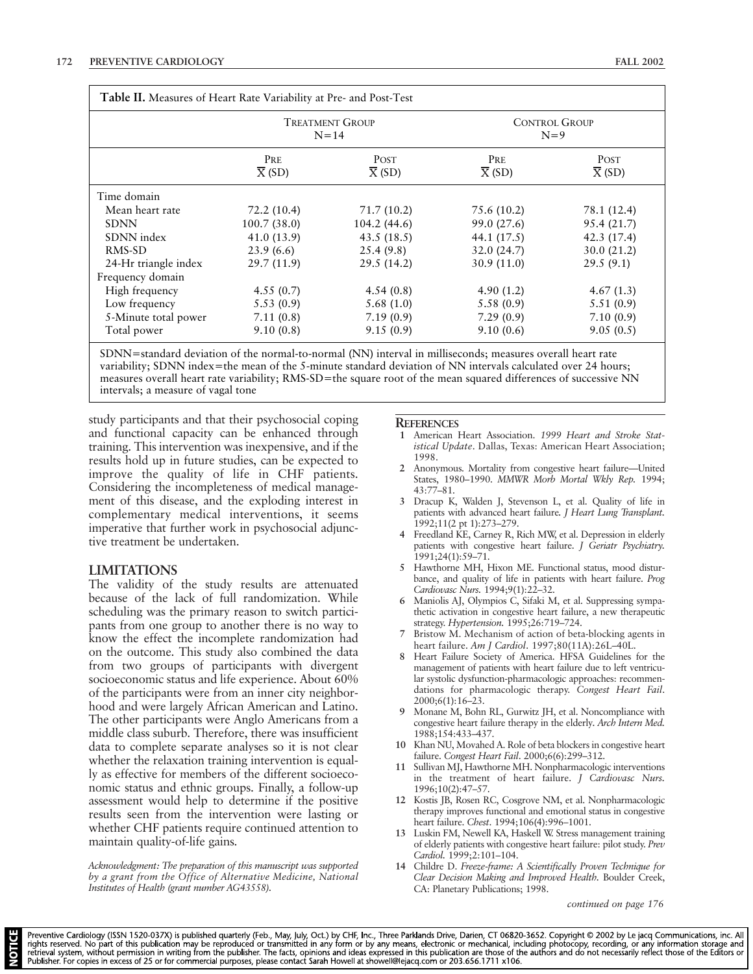| Table II. Measures of Heart Rate Variability at Pre- and Post-Test |                                    |                             |                               |                                    |  |  |  |  |
|--------------------------------------------------------------------|------------------------------------|-----------------------------|-------------------------------|------------------------------------|--|--|--|--|
|                                                                    | <b>TREATMENT GROUP</b><br>$N = 14$ |                             | <b>CONTROL GROUP</b><br>$N=9$ |                                    |  |  |  |  |
|                                                                    | Pre<br>$\overline{X}$ (SD)         | POST<br>$\overline{X}$ (SD) | PRE<br>$\overline{X}$ (SD)    | <b>POST</b><br>$\overline{X}$ (SD) |  |  |  |  |
| Time domain                                                        |                                    |                             |                               |                                    |  |  |  |  |
| Mean heart rate                                                    | 72.2(10.4)                         | 71.7 (10.2)                 | 75.6 (10.2)                   | 78.1 (12.4)                        |  |  |  |  |
| <b>SDNN</b>                                                        | 100.7(38.0)                        | 104.2 (44.6)                | 99.0 (27.6)                   | 95.4 (21.7)                        |  |  |  |  |
| SDNN index                                                         | 41.0(13.9)                         | 43.5 $(18.5)$               | 44.1 $(17.5)$                 | 42.3 (17.4)                        |  |  |  |  |
| RMS-SD                                                             | 23.9(6.6)                          | 25.4(9.8)                   | 32.0 (24.7)                   | 30.0(21.2)                         |  |  |  |  |
| 24-Hr triangle index                                               | 29.7(11.9)                         | 29.5 (14.2)                 | 30.9 (11.0)                   | 29.5(9.1)                          |  |  |  |  |
| Frequency domain                                                   |                                    |                             |                               |                                    |  |  |  |  |
| High frequency                                                     | 4.55(0.7)                          | 4.54(0.8)                   | 4.90 $(1.2)$                  | 4.67(1.3)                          |  |  |  |  |
| Low frequency                                                      | 5.53(0.9)                          | 5.68(1.0)                   | 5.58(0.9)                     | 5.51(0.9)                          |  |  |  |  |
| 5-Minute total power                                               | 7.11(0.8)                          | 7.19(0.9)                   | 7.29(0.9)                     | 7.10(0.9)                          |  |  |  |  |
| Total power                                                        | 9.10(0.8)                          | 9.15(0.9)                   | 9.10(0.6)                     | 9.05(0.5)                          |  |  |  |  |
|                                                                    |                                    |                             |                               |                                    |  |  |  |  |

SDNN=standard deviation of the normal-to-normal (NN) interval in milliseconds; measures overall heart rate variability; SDNN index=the mean of the 5-minute standard deviation of NN intervals calculated over 24 hours; measures overall heart rate variability; RMS-SD=the square root of the mean squared differences of successive NN intervals; a measure of vagal tone

study participants and that their psychosocial coping and functional capacity can be enhanced through training. This intervention was inexpensive, and if the results hold up in future studies, can be expected to improve the quality of life in CHF patients. Considering the incompleteness of medical management of this disease, and the exploding interest in complementary medical interventions, it seems imperative that further work in psychosocial adjunctive treatment be undertaken.

### **LIMITATIONS**

The validity of the study results are attenuated because of the lack of full randomization. While scheduling was the primary reason to switch participants from one group to another there is no way to know the effect the incomplete randomization had on the outcome. This study also combined the data from two groups of participants with divergent socioeconomic status and life experience. About 60% of the participants were from an inner city neighborhood and were largely African American and Latino. The other participants were Anglo Americans from a middle class suburb. Therefore, there was insufficient data to complete separate analyses so it is not clear whether the relaxation training intervention is equally as effective for members of the different socioeconomic status and ethnic groups. Finally, a follow-up assessment would help to determine if the positive results seen from the intervention were lasting or whether CHF patients require continued attention to maintain quality-of-life gains.

*Acknowledgment: The preparation of this manuscript was supported by a grant from the Office of Alternative Medicine, National Institutes of Health (grant number AG43558).*

#### **REFERENCES**

- **1** American Heart Association. *1999 Heart and Stroke Statistical Update*. Dallas, Texas: American Heart Association; 1998.
- **2** Anonymous. Mortality from congestive heart failure—United States, 1980–1990. *MMWR Morb Mortal Wkly Rep.* 1994; 43:77–81.
- **3** Dracup K, Walden J, Stevenson L, et al. Quality of life in patients with advanced heart failure*. J Heart Lung Transplant.* 1992;11(2 pt 1):273–279.
- **4** Freedland KE, Carney R, Rich MW, et al. Depression in elderly patients with congestive heart failure. *J Geriatr Psychiatry.* 1991;24(1):59–71.
- **5** Hawthorne MH, Hixon ME. Functional status, mood disturbance, and quality of life in patients with heart failure. *Prog Cardiovasc Nurs.* 1994;9(1):22–32.
- **6** Maniolis AJ, Olympios C, Sifaki M, et al. Suppressing sympathetic activation in congestive heart failure, a new therapeutic strategy. *Hypertension.* 1995;26:719–724.
- Bristow M. Mechanism of action of beta-blocking agents in heart failure. *Am J Cardiol*. 1997;80(11A):26L–40L.
- **8** Heart Failure Society of America. HFSA Guidelines for the management of patients with heart failure due to left ventricular systolic dysfunction-pharmacologic approaches: recommendations for pharmacologic therapy. *Congest Heart Fail*. 2000;6(1):16–23.
- **9** Monane M, Bohn RL, Gurwitz JH, et al. Noncompliance with congestive heart failure therapy in the elderly*. Arch Intern Med.* 1988;154:433–437.
- **10** Khan NU, Movahed A. Role of beta blockers in congestive heart failure. *Congest Heart Fail*. 2000;6(6):299–312.
- Sullivan MJ, Hawthorne MH. Nonpharmacologic interventions in the treatment of heart failure. *J Cardiovasc Nurs.* 1996;10(2):47–57.
- **12** Kostis JB, Rosen RC, Cosgrove NM, et al. Nonpharmacologic therapy improves functional and emotional status in congestive heart failure. *Chest*. 1994;106(4):996–1001.
- **13** Luskin FM, Newell KA, Haskell W. Stress management training of elderly patients with congestive heart failure: pilot study. *Prev Cardiol.* 1999;2:101–104.
- **14** Childre D. *Freeze-frame: A Scientifically Proven Technique for Clear Decision Making and Improved Health.* Boulder Creek, CA: Planetary Publications; 1998.

*continued on page 176*

Preventive Cardiology (ISSN 1520-037X) is published quarterly (Feb., May, July, Oct.) by CHF, Inc., Three Parklands Drive, Darien, CT 06820-3652. Copyright © 2002 by Le jacq Communications, inc. All rights reserved. No part of this publication may be reproduced or transmitted in any form or by any means, electronic or mechanical, including photocopy, recording, or any information storage and<br>retrieval system, without Publisher. For copies in excess of 25 or for commercial purposes, please contact Sarah Howell at showell@lejacq.com or 203.656.1711 x106.